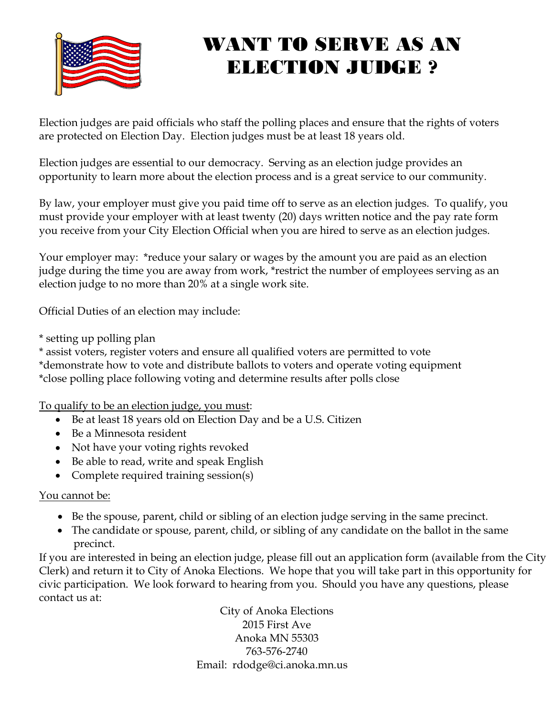

# WANT TO SERVE AS AN ELECTION JUDGE ?

Election judges are paid officials who staff the polling places and ensure that the rights of voters are protected on Election Day. Election judges must be at least 18 years old.

Election judges are essential to our democracy. Serving as an election judge provides an opportunity to learn more about the election process and is a great service to our community.

By law, your employer must give you paid time off to serve as an election judges. To qualify, you must provide your employer with at least twenty (20) days written notice and the pay rate form you receive from your City Election Official when you are hired to serve as an election judges.

Your employer may: \*reduce your salary or wages by the amount you are paid as an election judge during the time you are away from work, \*restrict the number of employees serving as an election judge to no more than 20% at a single work site.

Official Duties of an election may include:

\* setting up polling plan

\* assist voters, register voters and ensure all qualified voters are permitted to vote \*demonstrate how to vote and distribute ballots to voters and operate voting equipment \*close polling place following voting and determine results after polls close

To qualify to be an election judge, you must:

- Be at least 18 years old on Election Day and be a U.S. Citizen
- Be a Minnesota resident
- Not have your voting rights revoked
- Be able to read, write and speak English
- Complete required training session(s)

#### You cannot be:

- Be the spouse, parent, child or sibling of an election judge serving in the same precinct.
- The candidate or spouse, parent, child, or sibling of any candidate on the ballot in the same precinct.

If you are interested in being an election judge, please fill out an application form (available from the City Clerk) and return it to City of Anoka Elections. We hope that you will take part in this opportunity for civic participation. We look forward to hearing from you. Should you have any questions, please contact us at:

> City of Anoka Elections 2015 First Ave Anoka MN 55303 763-576-2740 Email: rdodge@ci.anoka.mn.us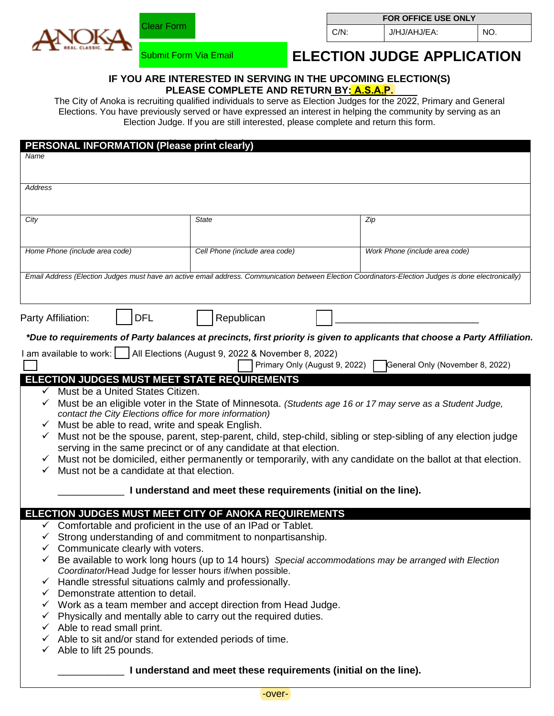

Submit Form Via Email

Clear Form

#### **FOR OFFICE USE ONLY**

C/N: J/HJ/AHJ/EA: NO.

## **ELECTION JUDGE APPLICATION**

#### **IF YOU ARE INTERESTED IN SERVING IN THE UPCOMING ELECTION(S) PLEASE COMPLETE AND RETURN BY: A.S.A.P.**

The City of Anoka is recruiting qualified individuals to serve as Election Judges for the 2022, Primary and General Elections. You have previously served or have expressed an interest in helping the community by serving as an Election Judge. If you are still interested, please complete and return this form.

| <b>PERSONAL INFORMATION (Please print clearly)</b>                                                                                                                 |                                                                                                                                                                                                                                                                                                                                                                                |  |  |  |  |  |
|--------------------------------------------------------------------------------------------------------------------------------------------------------------------|--------------------------------------------------------------------------------------------------------------------------------------------------------------------------------------------------------------------------------------------------------------------------------------------------------------------------------------------------------------------------------|--|--|--|--|--|
|                                                                                                                                                                    |                                                                                                                                                                                                                                                                                                                                                                                |  |  |  |  |  |
|                                                                                                                                                                    |                                                                                                                                                                                                                                                                                                                                                                                |  |  |  |  |  |
|                                                                                                                                                                    |                                                                                                                                                                                                                                                                                                                                                                                |  |  |  |  |  |
|                                                                                                                                                                    |                                                                                                                                                                                                                                                                                                                                                                                |  |  |  |  |  |
| <b>State</b>                                                                                                                                                       | Zip                                                                                                                                                                                                                                                                                                                                                                            |  |  |  |  |  |
|                                                                                                                                                                    |                                                                                                                                                                                                                                                                                                                                                                                |  |  |  |  |  |
| Cell Phone (include area code)                                                                                                                                     | Work Phone (include area code)                                                                                                                                                                                                                                                                                                                                                 |  |  |  |  |  |
|                                                                                                                                                                    |                                                                                                                                                                                                                                                                                                                                                                                |  |  |  |  |  |
|                                                                                                                                                                    | Email Address (Election Judges must have an active email address. Communication between Election Coordinators-Election Judges is done electronically)                                                                                                                                                                                                                          |  |  |  |  |  |
|                                                                                                                                                                    |                                                                                                                                                                                                                                                                                                                                                                                |  |  |  |  |  |
|                                                                                                                                                                    |                                                                                                                                                                                                                                                                                                                                                                                |  |  |  |  |  |
| Republican                                                                                                                                                         |                                                                                                                                                                                                                                                                                                                                                                                |  |  |  |  |  |
|                                                                                                                                                                    | *Due to requirements of Party balances at precincts, first priority is given to applicants that choose a Party Affiliation.                                                                                                                                                                                                                                                    |  |  |  |  |  |
|                                                                                                                                                                    |                                                                                                                                                                                                                                                                                                                                                                                |  |  |  |  |  |
|                                                                                                                                                                    | General Only (November 8, 2022)                                                                                                                                                                                                                                                                                                                                                |  |  |  |  |  |
|                                                                                                                                                                    |                                                                                                                                                                                                                                                                                                                                                                                |  |  |  |  |  |
|                                                                                                                                                                    |                                                                                                                                                                                                                                                                                                                                                                                |  |  |  |  |  |
|                                                                                                                                                                    |                                                                                                                                                                                                                                                                                                                                                                                |  |  |  |  |  |
| ✓<br>contact the City Elections office for more information)                                                                                                       |                                                                                                                                                                                                                                                                                                                                                                                |  |  |  |  |  |
| Must be able to read, write and speak English.<br>✓                                                                                                                |                                                                                                                                                                                                                                                                                                                                                                                |  |  |  |  |  |
| Must not be the spouse, parent, step-parent, child, step-child, sibling or step-sibling of any election judge<br>✓                                                 |                                                                                                                                                                                                                                                                                                                                                                                |  |  |  |  |  |
| serving in the same precinct or of any candidate at that election.                                                                                                 |                                                                                                                                                                                                                                                                                                                                                                                |  |  |  |  |  |
| Must not be domiciled, either permanently or temporarily, with any candidate on the ballot at that election.                                                       |                                                                                                                                                                                                                                                                                                                                                                                |  |  |  |  |  |
| Must not be a candidate at that election.                                                                                                                          |                                                                                                                                                                                                                                                                                                                                                                                |  |  |  |  |  |
| I understand and meet these requirements (initial on the line).                                                                                                    |                                                                                                                                                                                                                                                                                                                                                                                |  |  |  |  |  |
|                                                                                                                                                                    |                                                                                                                                                                                                                                                                                                                                                                                |  |  |  |  |  |
|                                                                                                                                                                    |                                                                                                                                                                                                                                                                                                                                                                                |  |  |  |  |  |
| Comfortable and proficient in the use of an IPad or Tablet.                                                                                                        |                                                                                                                                                                                                                                                                                                                                                                                |  |  |  |  |  |
| Strong understanding of and commitment to nonpartisanship.                                                                                                         |                                                                                                                                                                                                                                                                                                                                                                                |  |  |  |  |  |
| Communicate clearly with voters.                                                                                                                                   |                                                                                                                                                                                                                                                                                                                                                                                |  |  |  |  |  |
| Be available to work long hours (up to 14 hours) Special accommodations may be arranged with Election<br>Coordinator/Head Judge for lesser hours if/when possible. |                                                                                                                                                                                                                                                                                                                                                                                |  |  |  |  |  |
| Handle stressful situations calmly and professionally.<br>$\checkmark$                                                                                             |                                                                                                                                                                                                                                                                                                                                                                                |  |  |  |  |  |
| Demonstrate attention to detail.<br>$\checkmark$                                                                                                                   |                                                                                                                                                                                                                                                                                                                                                                                |  |  |  |  |  |
| $\checkmark$ Work as a team member and accept direction from Head Judge.                                                                                           |                                                                                                                                                                                                                                                                                                                                                                                |  |  |  |  |  |
| Physically and mentally able to carry out the required duties.<br>$\checkmark$                                                                                     |                                                                                                                                                                                                                                                                                                                                                                                |  |  |  |  |  |
| Able to read small print.<br>✓                                                                                                                                     |                                                                                                                                                                                                                                                                                                                                                                                |  |  |  |  |  |
|                                                                                                                                                                    | Able to sit and/or stand for extended periods of time.<br>✓                                                                                                                                                                                                                                                                                                                    |  |  |  |  |  |
|                                                                                                                                                                    |                                                                                                                                                                                                                                                                                                                                                                                |  |  |  |  |  |
|                                                                                                                                                                    |                                                                                                                                                                                                                                                                                                                                                                                |  |  |  |  |  |
|                                                                                                                                                                    | I am available to work:     All Elections (August 9, 2022 & November 8, 2022)<br>Primary Only (August 9, 2022)<br><b>ELECTION JUDGES MUST MEET STATE REQUIREMENTS</b><br>Must be a United States Citizen.<br>Must be an eligible voter in the State of Minnesota. (Students age 16 or 17 may serve as a Student Judge,<br>ELECTION JUDGES MUST MEET CITY OF ANOKA REQUIREMENTS |  |  |  |  |  |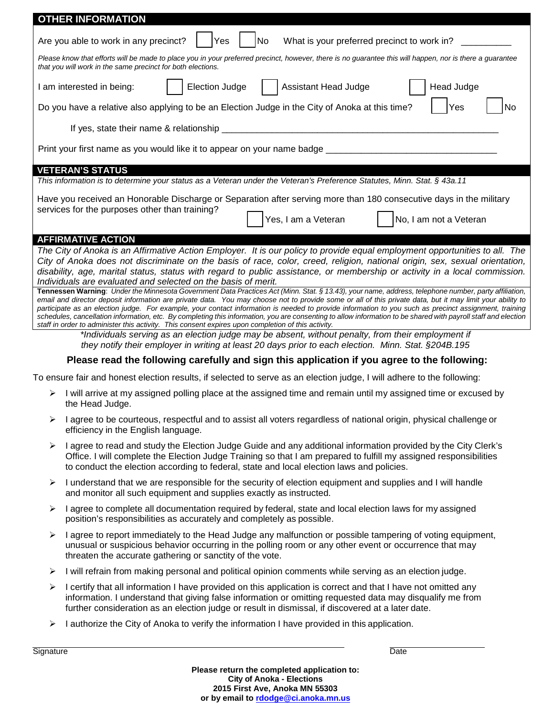| <b>OTHER INFORMATION</b>                                                                                                                                                                                                                                                                                                |                                                                                                                                                                                                                                                                                                                                 |                       |  |                      |  |                        |  |  |
|-------------------------------------------------------------------------------------------------------------------------------------------------------------------------------------------------------------------------------------------------------------------------------------------------------------------------|---------------------------------------------------------------------------------------------------------------------------------------------------------------------------------------------------------------------------------------------------------------------------------------------------------------------------------|-----------------------|--|----------------------|--|------------------------|--|--|
| What is your preferred precinct to work in?<br>Are you able to work in any precinct?<br>Yes<br>No                                                                                                                                                                                                                       |                                                                                                                                                                                                                                                                                                                                 |                       |  |                      |  |                        |  |  |
| Please know that efforts will be made to place you in your preferred precinct, however, there is no guarantee this will happen, nor is there a guarantee<br>that you will work in the same precinct for both elections.                                                                                                 |                                                                                                                                                                                                                                                                                                                                 |                       |  |                      |  |                        |  |  |
|                                                                                                                                                                                                                                                                                                                         | I am interested in being:                                                                                                                                                                                                                                                                                                       | <b>Election Judge</b> |  | Assistant Head Judge |  | Head Judge             |  |  |
|                                                                                                                                                                                                                                                                                                                         | Do you have a relative also applying to be an Election Judge in the City of Anoka at this time?<br>Yes<br>No                                                                                                                                                                                                                    |                       |  |                      |  |                        |  |  |
|                                                                                                                                                                                                                                                                                                                         |                                                                                                                                                                                                                                                                                                                                 |                       |  |                      |  |                        |  |  |
|                                                                                                                                                                                                                                                                                                                         | Print your first name as you would like it to appear on your name badge __                                                                                                                                                                                                                                                      |                       |  |                      |  |                        |  |  |
|                                                                                                                                                                                                                                                                                                                         | <b>VETERAN'S STATUS</b>                                                                                                                                                                                                                                                                                                         |                       |  |                      |  |                        |  |  |
|                                                                                                                                                                                                                                                                                                                         | This information is to determine your status as a Veteran under the Veteran's Preference Statutes, Minn. Stat. § 43a.11                                                                                                                                                                                                         |                       |  |                      |  |                        |  |  |
|                                                                                                                                                                                                                                                                                                                         | Have you received an Honorable Discharge or Separation after serving more than 180 consecutive days in the military                                                                                                                                                                                                             |                       |  |                      |  |                        |  |  |
|                                                                                                                                                                                                                                                                                                                         | services for the purposes other than training?                                                                                                                                                                                                                                                                                  |                       |  | Yes, I am a Veteran  |  | No, I am not a Veteran |  |  |
|                                                                                                                                                                                                                                                                                                                         |                                                                                                                                                                                                                                                                                                                                 |                       |  |                      |  |                        |  |  |
|                                                                                                                                                                                                                                                                                                                         | <b>AFFIRMATIVE ACTION</b>                                                                                                                                                                                                                                                                                                       |                       |  |                      |  |                        |  |  |
|                                                                                                                                                                                                                                                                                                                         | The City of Anoka is an Affirmative Action Employer. It is our policy to provide equal employment opportunities to all. The<br>City of Anoka does not discriminate on the basis of race, color, creed, religion, national origin, sex, sexual orientation,                                                                      |                       |  |                      |  |                        |  |  |
| disability, age, marital status, status with regard to public assistance, or membership or activity in a local commission.                                                                                                                                                                                              |                                                                                                                                                                                                                                                                                                                                 |                       |  |                      |  |                        |  |  |
| Individuals are evaluated and selected on the basis of merit.<br>Tennessen Warning: Under the Minnesota Government Data Practices Act (Minn. Stat. § 13.43), your name, address, telephone number, party affiliation,                                                                                                   |                                                                                                                                                                                                                                                                                                                                 |                       |  |                      |  |                        |  |  |
| email and director deposit information are private data. You may choose not to provide some or all of this private data, but it may limit your ability to                                                                                                                                                               |                                                                                                                                                                                                                                                                                                                                 |                       |  |                      |  |                        |  |  |
| participate as an election judge. For example, your contact information is needed to provide information to you such as precinct assignment, training<br>schedules, cancellation information, etc. By completing this information, you are consenting to allow information to be shared with payroll staff and election |                                                                                                                                                                                                                                                                                                                                 |                       |  |                      |  |                        |  |  |
| staff in order to administer this activity. This consent expires upon completion of this activity.                                                                                                                                                                                                                      |                                                                                                                                                                                                                                                                                                                                 |                       |  |                      |  |                        |  |  |
| *Individuals serving as an election judge may be absent, without penalty, from their employment if<br>they notify their employer in writing at least 20 days prior to each election. Minn. Stat. §204B.195                                                                                                              |                                                                                                                                                                                                                                                                                                                                 |                       |  |                      |  |                        |  |  |
| Please read the following carefully and sign this application if you agree to the following:                                                                                                                                                                                                                            |                                                                                                                                                                                                                                                                                                                                 |                       |  |                      |  |                        |  |  |
| To ensure fair and honest election results, if selected to serve as an election judge, I will adhere to the following:                                                                                                                                                                                                  |                                                                                                                                                                                                                                                                                                                                 |                       |  |                      |  |                        |  |  |
| ➤                                                                                                                                                                                                                                                                                                                       | I will arrive at my assigned polling place at the assigned time and remain until my assigned time or excused by<br>the Head Judge.                                                                                                                                                                                              |                       |  |                      |  |                        |  |  |
| ➤                                                                                                                                                                                                                                                                                                                       | I agree to be courteous, respectful and to assist all voters regardless of national origin, physical challenge or<br>efficiency in the English language.                                                                                                                                                                        |                       |  |                      |  |                        |  |  |
| ➤                                                                                                                                                                                                                                                                                                                       | I agree to read and study the Election Judge Guide and any additional information provided by the City Clerk's                                                                                                                                                                                                                  |                       |  |                      |  |                        |  |  |
|                                                                                                                                                                                                                                                                                                                         | Office. I will complete the Election Judge Training so that I am prepared to fulfill my assigned responsibilities<br>to conduct the election according to federal, state and local election laws and policies.                                                                                                                  |                       |  |                      |  |                        |  |  |
| ➤                                                                                                                                                                                                                                                                                                                       | I understand that we are responsible for the security of election equipment and supplies and I will handle<br>and monitor all such equipment and supplies exactly as instructed.                                                                                                                                                |                       |  |                      |  |                        |  |  |
| ➤                                                                                                                                                                                                                                                                                                                       | I agree to complete all documentation required by federal, state and local election laws for my assigned<br>position's responsibilities as accurately and completely as possible.                                                                                                                                               |                       |  |                      |  |                        |  |  |
| ➤                                                                                                                                                                                                                                                                                                                       | I agree to report immediately to the Head Judge any malfunction or possible tampering of voting equipment,<br>unusual or suspicious behavior occurring in the polling room or any other event or occurrence that may<br>threaten the accurate gathering or sanctity of the vote.                                                |                       |  |                      |  |                        |  |  |
| ➤                                                                                                                                                                                                                                                                                                                       | I will refrain from making personal and political opinion comments while serving as an election judge.                                                                                                                                                                                                                          |                       |  |                      |  |                        |  |  |
| ➤                                                                                                                                                                                                                                                                                                                       | I certify that all information I have provided on this application is correct and that I have not omitted any<br>information. I understand that giving false information or omitting requested data may disqualify me from<br>further consideration as an election judge or result in dismissal, if discovered at a later date. |                       |  |                      |  |                        |  |  |

I authorize the City of Anoka to verify the information I have provided in this application.

Signature Date **Date of the Contract of Contract Contract of Contract Contract Contract Only and D**ate Date Date